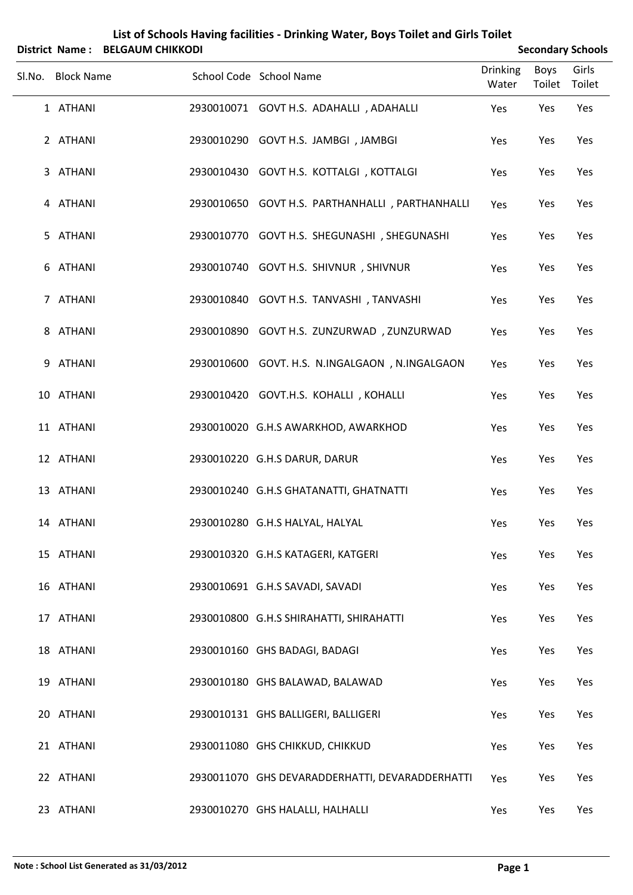|        |                   | List of Schools Having facilities - Drinking Water, Boys Toilet and Girls Toilet<br>District Name: BELGAUM CHIKKODI | <b>Secondary Schools</b>                        |                          |                       |                 |
|--------|-------------------|---------------------------------------------------------------------------------------------------------------------|-------------------------------------------------|--------------------------|-----------------------|-----------------|
| Sl.No. | <b>Block Name</b> |                                                                                                                     | School Code School Name                         | <b>Drinking</b><br>Water | <b>Boys</b><br>Toilet | Girls<br>Toilet |
|        | 1 ATHANI          |                                                                                                                     | 2930010071 GOVT H.S. ADAHALLI, ADAHALLI         | Yes                      | Yes                   | Yes             |
|        | 2 ATHANI          |                                                                                                                     | 2930010290 GOVT H.S. JAMBGI, JAMBGI             | Yes                      | Yes                   | Yes             |
|        | 3 ATHANI          |                                                                                                                     | 2930010430 GOVT H.S. KOTTALGI, KOTTALGI         | Yes                      | Yes                   | Yes             |
|        | 4 ATHANI          |                                                                                                                     | 2930010650 GOVT H.S. PARTHANHALLI, PARTHANHALLI | Yes                      | Yes                   | Yes             |
|        | 5 ATHANI          |                                                                                                                     | 2930010770 GOVT H.S. SHEGUNASHI, SHEGUNASHI     | Yes                      | Yes                   | Yes             |
|        | 6 ATHANI          |                                                                                                                     | 2930010740 GOVT H.S. SHIVNUR, SHIVNUR           | Yes                      | Yes                   | Yes             |
|        | 7 ATHANI          |                                                                                                                     | 2930010840 GOVT H.S. TANVASHI, TANVASHI         | Yes                      | Yes                   | Yes             |
|        | 8 ATHANI          |                                                                                                                     | 2930010890 GOVT H.S. ZUNZURWAD, ZUNZURWAD       | Yes                      | Yes                   | Yes             |
|        | 9 ATHANI          |                                                                                                                     | 2930010600 GOVT. H.S. N.INGALGAON, N.INGALGAON  | Yes                      | Yes                   | Yes             |
|        | 10 ATHANI         |                                                                                                                     | 2930010420 GOVT.H.S. KOHALLI, KOHALLI           | Yes                      | Yes                   | Yes             |
|        | 11 ATHANI         |                                                                                                                     | 2930010020 G.H.S AWARKHOD, AWARKHOD             | Yes                      | Yes                   | Yes             |
|        | 12 ATHANI         |                                                                                                                     | 2930010220 G.H.S DARUR, DARUR                   | Yes                      | Yes                   | Yes             |
|        | 13 ATHANI         |                                                                                                                     | 2930010240 G.H.S GHATANATTI, GHATNATTI          | Yes                      | Yes                   | Yes             |
|        | 14 ATHANI         |                                                                                                                     | 2930010280 G.H.S HALYAL, HALYAL                 | Yes                      | Yes                   | Yes             |
|        | 15 ATHANI         |                                                                                                                     | 2930010320 G.H.S KATAGERI, KATGERI              | Yes                      | Yes                   | Yes             |
|        | 16 ATHANI         |                                                                                                                     | 2930010691 G.H.S SAVADI, SAVADI                 | Yes                      | Yes                   | Yes             |
|        | 17 ATHANI         |                                                                                                                     | 2930010800 G.H.S SHIRAHATTI, SHIRAHATTI         | Yes                      | Yes                   | Yes             |
|        | 18 ATHANI         |                                                                                                                     | 2930010160 GHS BADAGI, BADAGI                   | Yes                      | Yes                   | Yes             |
|        | 19 ATHANI         |                                                                                                                     | 2930010180 GHS BALAWAD, BALAWAD                 | Yes                      | Yes                   | Yes             |
|        | 20 ATHANI         |                                                                                                                     | 2930010131 GHS BALLIGERI, BALLIGERI             | Yes                      | Yes                   | Yes             |
|        | 21 ATHANI         |                                                                                                                     | 2930011080 GHS CHIKKUD, CHIKKUD                 | Yes                      | Yes                   | Yes             |
|        | 22 ATHANI         |                                                                                                                     | 2930011070 GHS DEVARADDERHATTI, DEVARADDERHATTI | Yes                      | Yes                   | Yes             |
|        | 23 ATHANI         |                                                                                                                     | 2930010270 GHS HALALLI, HALHALLI                | Yes                      | Yes                   | Yes             |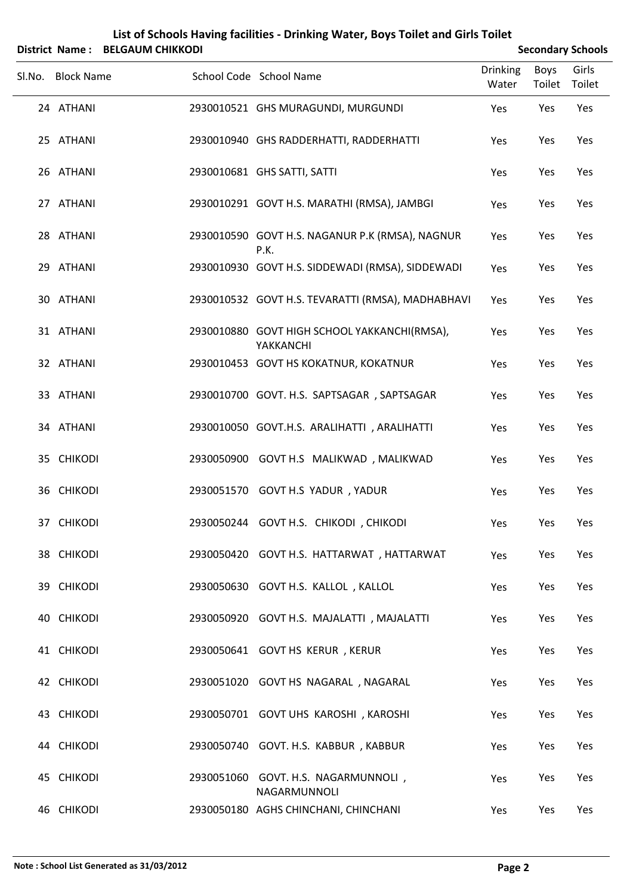|        |                   | District Name: BELGAUM CHIKKODI |                                                           | <b>Secondary Schools</b> |                |                 |
|--------|-------------------|---------------------------------|-----------------------------------------------------------|--------------------------|----------------|-----------------|
| Sl.No. | <b>Block Name</b> |                                 | School Code School Name                                   | <b>Drinking</b><br>Water | Boys<br>Toilet | Girls<br>Toilet |
|        | 24 ATHANI         |                                 | 2930010521 GHS MURAGUNDI, MURGUNDI                        | Yes                      | Yes            | Yes             |
|        | 25 ATHANI         |                                 | 2930010940 GHS RADDERHATTI, RADDERHATTI                   | Yes                      | Yes            | Yes             |
|        | 26 ATHANI         |                                 | 2930010681 GHS SATTI, SATTI                               | Yes                      | Yes            | Yes             |
|        | 27 ATHANI         |                                 | 2930010291 GOVT H.S. MARATHI (RMSA), JAMBGI               | Yes                      | Yes            | Yes             |
|        | 28 ATHANI         |                                 | 2930010590 GOVT H.S. NAGANUR P.K (RMSA), NAGNUR<br>P.K.   | Yes                      | Yes            | Yes             |
|        | 29 ATHANI         |                                 | 2930010930 GOVT H.S. SIDDEWADI (RMSA), SIDDEWADI          | Yes                      | Yes            | Yes             |
|        | 30 ATHANI         |                                 | 2930010532 GOVT H.S. TEVARATTI (RMSA), MADHABHAVI         | Yes                      | Yes            | Yes             |
|        | 31 ATHANI         |                                 | 2930010880 GOVT HIGH SCHOOL YAKKANCHI(RMSA),<br>YAKKANCHI | Yes                      | Yes            | Yes             |
|        | 32 ATHANI         |                                 | 2930010453 GOVT HS KOKATNUR, KOKATNUR                     | Yes                      | Yes            | Yes             |
|        | 33 ATHANI         |                                 | 2930010700 GOVT. H.S. SAPTSAGAR, SAPTSAGAR                | Yes                      | Yes            | Yes             |
|        | 34 ATHANI         |                                 | 2930010050 GOVT.H.S. ARALIHATTI, ARALIHATTI               | Yes                      | Yes            | Yes             |
|        | 35 CHIKODI        |                                 | 2930050900 GOVT H.S MALIKWAD, MALIKWAD                    | Yes                      | Yes            | Yes             |
|        | 36 CHIKODI        |                                 | 2930051570 GOVT H.S YADUR, YADUR                          | Yes                      | Yes            | Yes             |
|        | 37 CHIKODI        |                                 | 2930050244 GOVT H.S. CHIKODI, CHIKODI                     | Yes                      | Yes            | Yes             |
|        | 38 CHIKODI        |                                 | 2930050420 GOVT H.S. HATTARWAT, HATTARWAT                 | Yes                      | Yes            | Yes             |
|        | 39 CHIKODI        |                                 | 2930050630 GOVT H.S. KALLOL, KALLOL                       | Yes                      | Yes            | Yes             |
|        | 40 CHIKODI        |                                 | 2930050920 GOVT H.S. MAJALATTI, MAJALATTI                 | Yes                      | Yes            | Yes             |
|        | 41 CHIKODI        |                                 | 2930050641 GOVT HS KERUR, KERUR                           | Yes                      | Yes            | Yes             |
|        | 42 CHIKODI        |                                 | 2930051020 GOVT HS NAGARAL, NAGARAL                       | Yes                      | Yes            | Yes             |
|        | 43 CHIKODI        |                                 | 2930050701 GOVT UHS KAROSHI, KAROSHI                      | Yes                      | Yes            | Yes             |
|        | 44 CHIKODI        |                                 | 2930050740 GOVT. H.S. KABBUR, KABBUR                      | Yes                      | Yes            | Yes             |
|        | 45 CHIKODI        |                                 | 2930051060 GOVT. H.S. NAGARMUNNOLI,<br>NAGARMUNNOLI       | Yes                      | Yes            | Yes             |
|        | 46 CHIKODI        |                                 | 2930050180 AGHS CHINCHANI, CHINCHANI                      | Yes                      | Yes            | Yes             |

# **List of Schools Having facilities ‐ Drinking Water, Boys Toilet and Girls Toilet**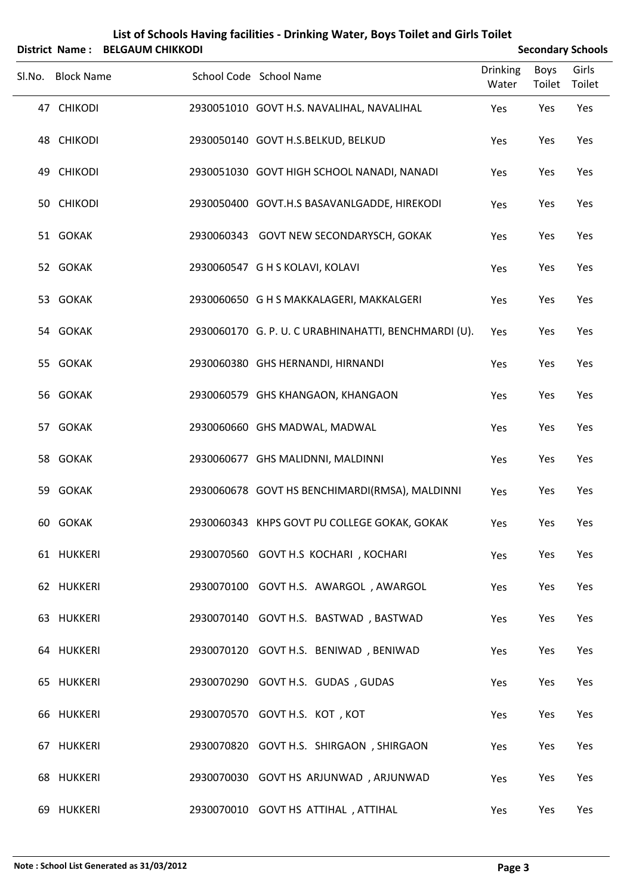| List of Schools Having facilities - Drinking Water, Boys Toilet and Girls Toilet<br><b>BELGAUM CHIKKODI</b><br><b>Secondary Schools</b><br><b>District Name:</b> |                   |  |                                                      |                 |        |        |  |  |
|------------------------------------------------------------------------------------------------------------------------------------------------------------------|-------------------|--|------------------------------------------------------|-----------------|--------|--------|--|--|
|                                                                                                                                                                  |                   |  | School Code School Name                              | <b>Drinking</b> | Boys   | Girls  |  |  |
|                                                                                                                                                                  | Sl.No. Block Name |  |                                                      | Water           | Toilet | Toilet |  |  |
|                                                                                                                                                                  | 47 CHIKODI        |  | 2930051010 GOVT H.S. NAVALIHAL, NAVALIHAL            | Yes             | Yes    | Yes    |  |  |
|                                                                                                                                                                  | 48 CHIKODI        |  | 2930050140 GOVT H.S.BELKUD, BELKUD                   | Yes             | Yes    | Yes    |  |  |
|                                                                                                                                                                  | 49 CHIKODI        |  | 2930051030 GOVT HIGH SCHOOL NANADI, NANADI           | Yes             | Yes    | Yes    |  |  |
|                                                                                                                                                                  | 50 CHIKODI        |  | 2930050400 GOVT.H.S BASAVANLGADDE, HIREKODI          | Yes             | Yes    | Yes    |  |  |
|                                                                                                                                                                  | 51 GOKAK          |  | 2930060343 GOVT NEW SECONDARYSCH, GOKAK              | Yes             | Yes    | Yes    |  |  |
|                                                                                                                                                                  | 52 GOKAK          |  | 2930060547 G H S KOLAVI, KOLAVI                      | Yes             | Yes    | Yes    |  |  |
|                                                                                                                                                                  | 53 GOKAK          |  | 2930060650 G H S MAKKALAGERI, MAKKALGERI             | Yes             | Yes    | Yes    |  |  |
|                                                                                                                                                                  | 54 GOKAK          |  | 2930060170 G. P. U. C URABHINAHATTI, BENCHMARDI (U). | Yes             | Yes    | Yes    |  |  |
|                                                                                                                                                                  | 55 GOKAK          |  | 2930060380 GHS HERNANDI, HIRNANDI                    | Yes             | Yes    | Yes    |  |  |
|                                                                                                                                                                  | 56 GOKAK          |  | 2930060579 GHS KHANGAON, KHANGAON                    | Yes             | Yes    | Yes    |  |  |
|                                                                                                                                                                  | 57 GOKAK          |  | 2930060660 GHS MADWAL, MADWAL                        | Yes             | Yes    | Yes    |  |  |
|                                                                                                                                                                  | 58 GOKAK          |  | 2930060677 GHS MALIDNNI, MALDINNI                    | Yes             | Yes    | Yes    |  |  |
|                                                                                                                                                                  | 59 GOKAK          |  | 2930060678 GOVT HS BENCHIMARDI(RMSA), MALDINNI       | Yes             | Yes    | Yes    |  |  |
|                                                                                                                                                                  | 60 GOKAK          |  | 2930060343 KHPS GOVT PU COLLEGE GOKAK, GOKAK         | Yes             | Yes    | Yes    |  |  |
|                                                                                                                                                                  | 61 HUKKERI        |  | 2930070560 GOVT H.S KOCHARI, KOCHARI                 | Yes             | Yes    | Yes    |  |  |
|                                                                                                                                                                  | 62 HUKKERI        |  | 2930070100 GOVT H.S. AWARGOL, AWARGOL                | Yes             | Yes    | Yes    |  |  |
|                                                                                                                                                                  | 63 HUKKERI        |  | 2930070140 GOVT H.S. BASTWAD, BASTWAD                | Yes             | Yes    | Yes    |  |  |
|                                                                                                                                                                  | 64 HUKKERI        |  | 2930070120 GOVT H.S. BENIWAD, BENIWAD                | Yes             | Yes    | Yes    |  |  |
|                                                                                                                                                                  | 65 HUKKERI        |  | 2930070290 GOVT H.S. GUDAS, GUDAS                    | Yes             | Yes    | Yes    |  |  |
|                                                                                                                                                                  | 66 HUKKERI        |  | 2930070570 GOVT H.S. KOT, KOT                        | Yes             | Yes    | Yes    |  |  |
|                                                                                                                                                                  | 67 HUKKERI        |  | 2930070820 GOVT H.S. SHIRGAON, SHIRGAON              | Yes             | Yes    | Yes    |  |  |
|                                                                                                                                                                  | 68 HUKKERI        |  | 2930070030 GOVT HS ARJUNWAD, ARJUNWAD                | Yes             | Yes    | Yes    |  |  |
|                                                                                                                                                                  | 69 HUKKERI        |  | 2930070010 GOVT HS ATTIHAL, ATTIHAL                  | Yes             | Yes    | Yes    |  |  |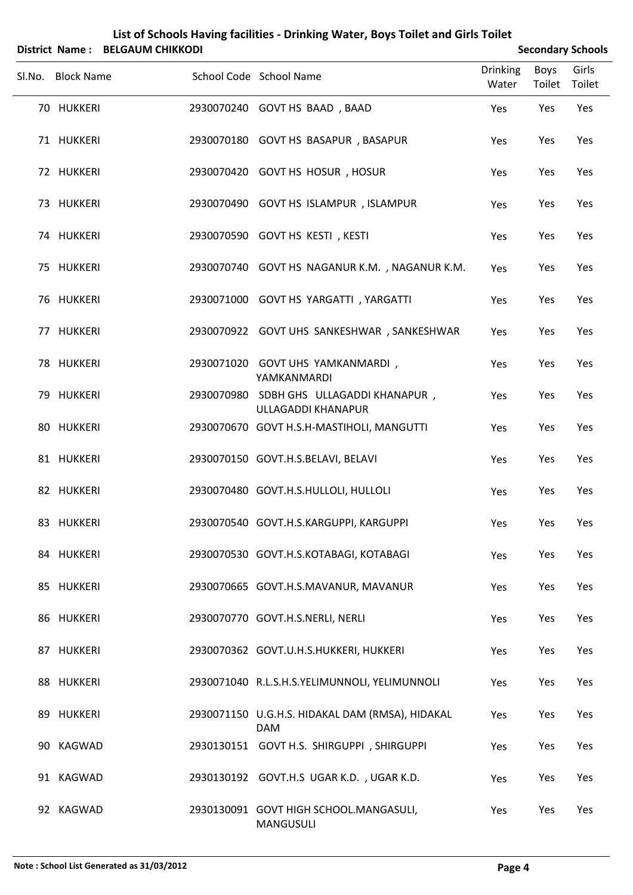| List of Schools Having facilities - Drinking Water, Boys Toilet and Girls Toilet<br>District Name: BELGAUM CHIKKODI<br><b>Secondary Schools</b> |                   |  |                                                                      |                          |                       |                 |  |  |
|-------------------------------------------------------------------------------------------------------------------------------------------------|-------------------|--|----------------------------------------------------------------------|--------------------------|-----------------------|-----------------|--|--|
|                                                                                                                                                 | Sl.No. Block Name |  | School Code School Name                                              | <b>Drinking</b><br>Water | <b>Boys</b><br>Toilet | Girls<br>Toilet |  |  |
|                                                                                                                                                 | 70 HUKKERI        |  | 2930070240 GOVT HS BAAD, BAAD                                        | Yes                      | Yes                   | Yes             |  |  |
|                                                                                                                                                 | 71 HUKKERI        |  | 2930070180 GOVT HS BASAPUR, BASAPUR                                  | Yes                      | Yes                   | Yes             |  |  |
|                                                                                                                                                 | 72 HUKKERI        |  | 2930070420 GOVT HS HOSUR, HOSUR                                      | Yes                      | Yes                   | Yes             |  |  |
|                                                                                                                                                 | 73 HUKKERI        |  | 2930070490 GOVT HS ISLAMPUR, ISLAMPUR                                | Yes                      | Yes                   | Yes             |  |  |
|                                                                                                                                                 | 74 HUKKERI        |  | 2930070590 GOVT HS KESTI, KESTI                                      | Yes                      | Yes                   | Yes             |  |  |
|                                                                                                                                                 | 75 HUKKERI        |  | 2930070740 GOVT HS NAGANUR K.M., NAGANUR K.M.                        | Yes                      | Yes                   | Yes             |  |  |
|                                                                                                                                                 | 76 HUKKERI        |  | 2930071000 GOVT HS YARGATTI, YARGATTI                                | Yes                      | Yes                   | Yes             |  |  |
|                                                                                                                                                 | 77 HUKKERI        |  | 2930070922 GOVT UHS SANKESHWAR, SANKESHWAR                           | Yes                      | Yes                   | Yes             |  |  |
|                                                                                                                                                 | 78 HUKKERI        |  | 2930071020 GOVT UHS YAMKANMARDI,<br>YAMKANMARDI                      | Yes                      | Yes                   | Yes             |  |  |
|                                                                                                                                                 | 79 HUKKERI        |  | 2930070980 SDBH GHS ULLAGADDI KHANAPUR,<br><b>ULLAGADDI KHANAPUR</b> | Yes                      | Yes                   | Yes             |  |  |
|                                                                                                                                                 | 80 HUKKERI        |  | 2930070670 GOVT H.S.H-MASTIHOLI, MANGUTTI                            | Yes                      | Yes                   | Yes             |  |  |
|                                                                                                                                                 | 81 HUKKERI        |  | 2930070150 GOVT.H.S.BELAVI, BELAVI                                   | Yes                      | Yes                   | Yes             |  |  |
|                                                                                                                                                 | 82 HUKKERI        |  | 2930070480 GOVT.H.S.HULLOLI, HULLOLI                                 | Yes                      | Yes                   | Yes             |  |  |
|                                                                                                                                                 | 83 HUKKERI        |  | 2930070540 GOVT.H.S.KARGUPPI, KARGUPPI                               | Yes                      | Yes                   | Yes             |  |  |
|                                                                                                                                                 | 84 HUKKERI        |  | 2930070530 GOVT.H.S.KOTABAGI, KOTABAGI                               | Yes                      | Yes                   | Yes             |  |  |
|                                                                                                                                                 | 85 HUKKERI        |  | 2930070665 GOVT.H.S.MAVANUR, MAVANUR                                 | Yes                      | Yes                   | Yes             |  |  |
|                                                                                                                                                 | 86 HUKKERI        |  | 2930070770 GOVT.H.S.NERLI, NERLI                                     | Yes                      | Yes                   | Yes             |  |  |
|                                                                                                                                                 | 87 HUKKERI        |  | 2930070362 GOVT.U.H.S.HUKKERI, HUKKERI                               | Yes                      | Yes                   | Yes             |  |  |
|                                                                                                                                                 | 88 HUKKERI        |  | 2930071040 R.L.S.H.S.YELIMUNNOLI, YELIMUNNOLI                        | Yes                      | Yes                   | Yes             |  |  |
|                                                                                                                                                 | 89 HUKKERI        |  | 2930071150 U.G.H.S. HIDAKAL DAM (RMSA), HIDAKAL<br><b>DAM</b>        | Yes                      | Yes                   | Yes             |  |  |
|                                                                                                                                                 | 90 KAGWAD         |  | 2930130151 GOVT H.S. SHIRGUPPI, SHIRGUPPI                            | Yes                      | Yes                   | Yes             |  |  |
|                                                                                                                                                 | 91 KAGWAD         |  | 2930130192 GOVT.H.S UGAR K.D., UGAR K.D.                             | Yes                      | Yes                   | Yes             |  |  |
|                                                                                                                                                 | 92 KAGWAD         |  | 2930130091 GOVT HIGH SCHOOL.MANGASULI,<br><b>MANGUSULI</b>           | Yes                      | Yes                   | Yes             |  |  |

## **Note : School List Generated as 31/03/2012 Page 4**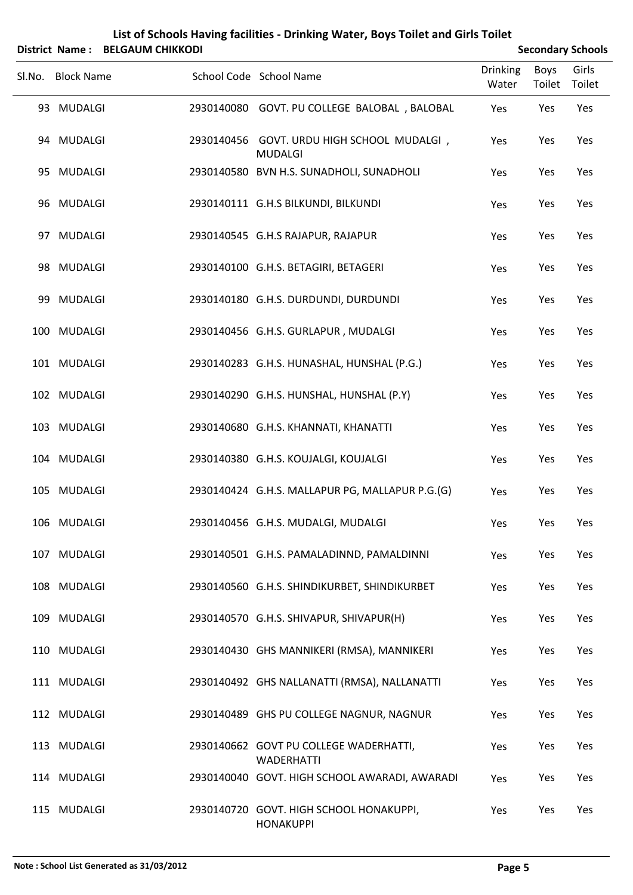|        |                   | District Name: BELGAUM CHIKKODI |                                                              |                          |                | <b>Secondary Schools</b> |
|--------|-------------------|---------------------------------|--------------------------------------------------------------|--------------------------|----------------|--------------------------|
| Sl.No. | <b>Block Name</b> |                                 | School Code School Name                                      | <b>Drinking</b><br>Water | Boys<br>Toilet | Girls<br>Toilet          |
|        | 93 MUDALGI        |                                 | 2930140080 GOVT. PU COLLEGE BALOBAL, BALOBAL                 | Yes                      | Yes            | Yes                      |
|        | 94 MUDALGI        |                                 | 2930140456 GOVT. URDU HIGH SCHOOL MUDALGI,<br><b>MUDALGI</b> | Yes                      | Yes            | Yes                      |
|        | 95 MUDALGI        |                                 | 2930140580 BVN H.S. SUNADHOLI, SUNADHOLI                     | Yes                      | Yes            | Yes                      |
|        | 96 MUDALGI        |                                 | 2930140111 G.H.S BILKUNDI, BILKUNDI                          | Yes                      | Yes            | Yes                      |
|        | 97 MUDALGI        |                                 | 2930140545 G.H.S RAJAPUR, RAJAPUR                            | Yes                      | Yes            | Yes                      |
|        | 98 MUDALGI        |                                 | 2930140100 G.H.S. BETAGIRI, BETAGERI                         | Yes                      | Yes            | Yes                      |
|        | 99 MUDALGI        |                                 | 2930140180 G.H.S. DURDUNDI, DURDUNDI                         | Yes                      | Yes            | Yes                      |
|        | 100 MUDALGI       |                                 | 2930140456 G.H.S. GURLAPUR, MUDALGI                          | Yes                      | Yes            | Yes                      |
|        | 101 MUDALGI       |                                 | 2930140283 G.H.S. HUNASHAL, HUNSHAL (P.G.)                   | Yes                      | Yes            | Yes                      |
|        | 102 MUDALGI       |                                 | 2930140290 G.H.S. HUNSHAL, HUNSHAL (P.Y)                     | Yes                      | Yes            | Yes                      |
|        | 103 MUDALGI       |                                 | 2930140680 G.H.S. KHANNATI, KHANATTI                         | Yes                      | Yes            | Yes                      |
|        | 104 MUDALGI       |                                 | 2930140380 G.H.S. KOUJALGI, KOUJALGI                         | Yes                      | Yes            | Yes                      |
|        | 105 MUDALGI       |                                 | 2930140424 G.H.S. MALLAPUR PG, MALLAPUR P.G.(G)              | Yes                      | Yes            | Yes                      |
|        | 106 MUDALGI       |                                 | 2930140456 G.H.S. MUDALGI, MUDALGI                           | Yes                      | Yes            | Yes                      |
|        | 107 MUDALGI       |                                 | 2930140501 G.H.S. PAMALADINND, PAMALDINNI                    | Yes                      | Yes            | Yes                      |
|        | 108 MUDALGI       |                                 | 2930140560 G.H.S. SHINDIKURBET, SHINDIKURBET                 | Yes                      | Yes            | Yes                      |
|        | 109 MUDALGI       |                                 | 2930140570 G.H.S. SHIVAPUR, SHIVAPUR(H)                      | Yes                      | Yes            | Yes                      |
|        | 110 MUDALGI       |                                 | 2930140430 GHS MANNIKERI (RMSA), MANNIKERI                   | Yes                      | Yes            | Yes                      |
|        | 111 MUDALGI       |                                 | 2930140492 GHS NALLANATTI (RMSA), NALLANATTI                 | Yes                      | Yes            | Yes                      |
|        | 112 MUDALGI       |                                 | 2930140489 GHS PU COLLEGE NAGNUR, NAGNUR                     | Yes                      | Yes            | Yes                      |
|        | 113 MUDALGI       |                                 | 2930140662 GOVT PU COLLEGE WADERHATTI,<br><b>WADERHATTI</b>  | Yes                      | Yes            | Yes                      |
|        | 114 MUDALGI       |                                 | 2930140040 GOVT. HIGH SCHOOL AWARADI, AWARADI                | Yes                      | Yes            | Yes                      |
|        | 115 MUDALGI       |                                 | 2930140720 GOVT. HIGH SCHOOL HONAKUPPI,<br><b>HONAKUPPI</b>  | Yes                      | Yes            | Yes                      |

**List of Schools Having facilities ‐ Drinking Water, Boys Toilet and Girls Toilet**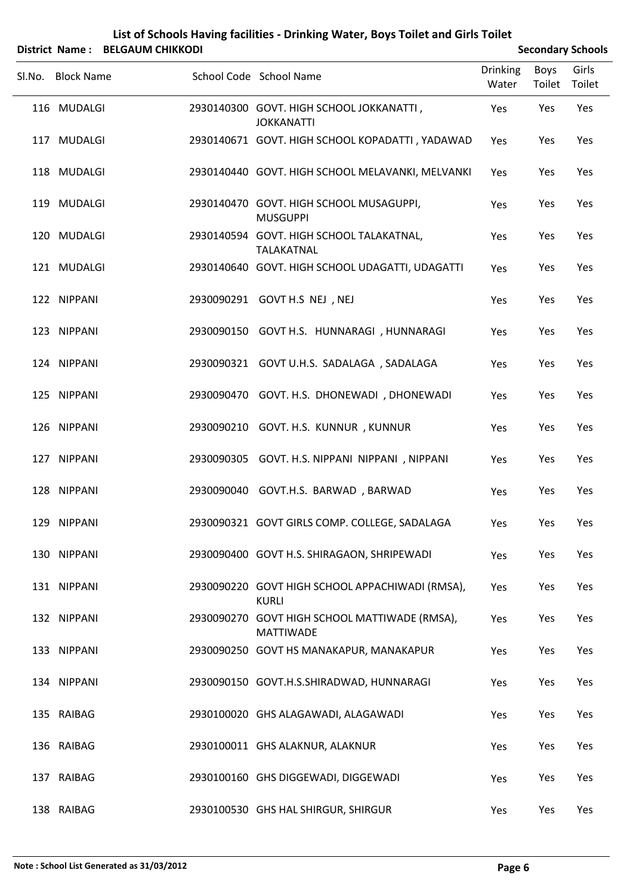### **List of Schools Having facilities ‐ Drinking Water, Boys Toilet and Girls Toilet District Name: BELGAUM CHIKKODI Secondary** Schools

| Sl.No. | <b>Block Name</b> | School Code School Name                                           | <b>Drinking</b><br>Water | <b>Boys</b><br>Toilet | Girls<br>Toilet |  |
|--------|-------------------|-------------------------------------------------------------------|--------------------------|-----------------------|-----------------|--|
|        | 116 MUDALGI       | 2930140300 GOVT. HIGH SCHOOL JOKKANATTI,<br><b>JOKKANATTI</b>     | Yes                      | Yes                   | Yes             |  |
|        | 117 MUDALGI       | 2930140671 GOVT. HIGH SCHOOL KOPADATTI, YADAWAD                   | Yes                      | Yes                   | Yes             |  |
|        | 118 MUDALGI       | 2930140440 GOVT. HIGH SCHOOL MELAVANKI, MELVANKI                  | Yes                      | Yes                   | Yes             |  |
|        | 119 MUDALGI       | 2930140470 GOVT. HIGH SCHOOL MUSAGUPPI,<br><b>MUSGUPPI</b>        | Yes                      | Yes                   | Yes             |  |
|        | 120 MUDALGI       | 2930140594 GOVT. HIGH SCHOOL TALAKATNAL,<br>TALAKATNAL            | Yes                      | Yes                   | Yes             |  |
|        | 121 MUDALGI       | 2930140640 GOVT. HIGH SCHOOL UDAGATTI, UDAGATTI                   | Yes                      | Yes                   | Yes             |  |
|        | 122 NIPPANI       | 2930090291 GOVT H.S NEJ , NEJ                                     | Yes                      | Yes                   | Yes             |  |
|        | 123 NIPPANI       | 2930090150 GOVT H.S. HUNNARAGI, HUNNARAGI                         | Yes                      | Yes                   | Yes             |  |
|        | 124 NIPPANI       | 2930090321 GOVT U.H.S. SADALAGA, SADALAGA                         | Yes                      | Yes                   | Yes             |  |
|        | 125 NIPPANI       | 2930090470 GOVT. H.S. DHONEWADI, DHONEWADI                        | Yes                      | Yes                   | Yes             |  |
|        | 126 NIPPANI       | 2930090210 GOVT. H.S. KUNNUR, KUNNUR                              | Yes                      | Yes                   | Yes             |  |
|        | 127 NIPPANI       | 2930090305 GOVT. H.S. NIPPANI NIPPANI, NIPPANI                    | Yes                      | Yes                   | Yes             |  |
|        | 128 NIPPANI       | 2930090040 GOVT.H.S. BARWAD, BARWAD                               | Yes                      | Yes                   | Yes             |  |
|        | 129 NIPPANI       | 2930090321 GOVT GIRLS COMP. COLLEGE, SADALAGA                     | Yes                      | Yes                   | Yes             |  |
|        | 130 NIPPANI       | 2930090400 GOVT H.S. SHIRAGAON, SHRIPEWADI                        | Yes                      | Yes                   | Yes             |  |
|        | 131 NIPPANI       | 2930090220 GOVT HIGH SCHOOL APPACHIWADI (RMSA),<br><b>KURLI</b>   | Yes                      | Yes                   | Yes             |  |
|        | 132 NIPPANI       | 2930090270 GOVT HIGH SCHOOL MATTIWADE (RMSA),<br><b>MATTIWADE</b> | Yes                      | Yes                   | Yes             |  |
|        | 133 NIPPANI       | 2930090250 GOVT HS MANAKAPUR, MANAKAPUR                           | Yes                      | Yes                   | Yes             |  |
|        | 134 NIPPANI       | 2930090150 GOVT.H.S.SHIRADWAD, HUNNARAGI                          | Yes                      | Yes                   | Yes             |  |
|        | 135 RAIBAG        | 2930100020 GHS ALAGAWADI, ALAGAWADI                               | Yes                      | Yes                   | Yes             |  |
|        | 136 RAIBAG        | 2930100011 GHS ALAKNUR, ALAKNUR                                   | Yes                      | Yes                   | Yes             |  |
|        | 137 RAIBAG        | 2930100160 GHS DIGGEWADI, DIGGEWADI                               | Yes                      | Yes                   | Yes             |  |
|        | 138 RAIBAG        | 2930100530 GHS HAL SHIRGUR, SHIRGUR                               | Yes                      | Yes                   | Yes             |  |